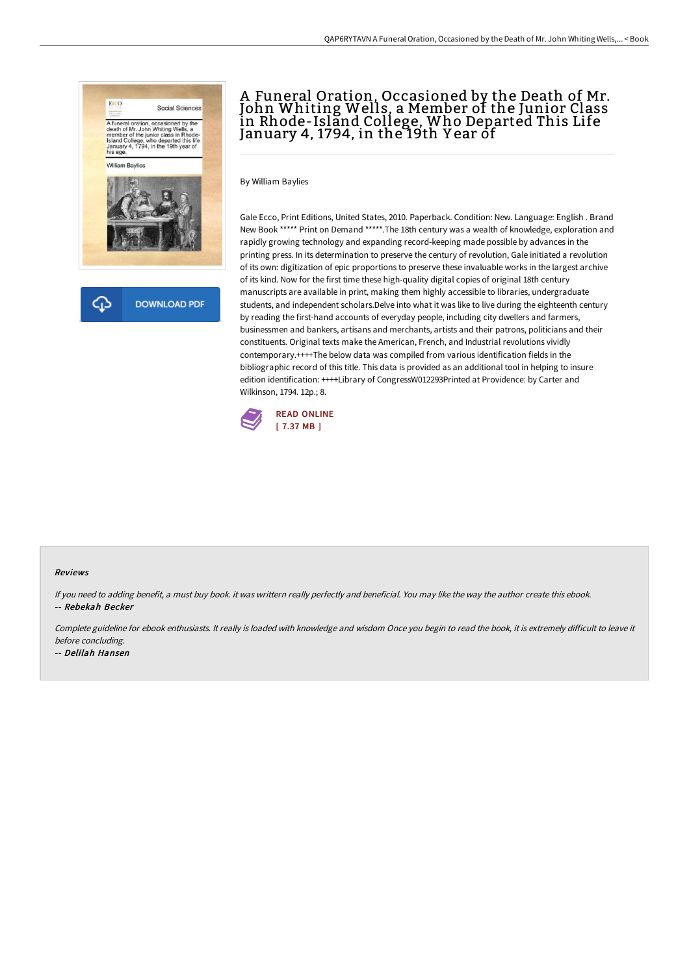

# A Funeral Oration, Occasioned by the Death of Mr. John Whiting Wells, a Member of the Junior Class in Rhode-Island College, Who Departed This Life January 4, 1794, in the 19th Y ear of

By William Baylies

Gale Ecco, Print Editions, United States, 2010. Paperback. Condition: New. Language: English . Brand New Book \*\*\*\*\* Print on Demand \*\*\*\*\*.The 18th century was a wealth of knowledge, exploration and rapidly growing technology and expanding record-keeping made possible by advances in the printing press. In its determination to preserve the century of revolution, Gale initiated a revolution of its own: digitization of epic proportions to preserve these invaluable works in the largest archive of its kind. Now for the first time these high-quality digital copies of original 18th century manuscripts are available in print, making them highly accessible to libraries, undergraduate students, and independent scholars.Delve into what it was like to live during the eighteenth century by reading the first-hand accounts of everyday people, including city dwellers and farmers, businessmen and bankers, artisans and merchants, artists and their patrons, politicians and their constituents. Original texts make the American, French, and Industrial revolutions vividly contemporary.++++The below data was compiled from various identification fields in the bibliographic record of this title. This data is provided as an additional tool in helping to insure edition identification: ++++Library of CongressW012293Printed at Providence: by Carter and Wilkinson, 1794. 12p.; 8.



#### Reviews

If you need to adding benefit, <sup>a</sup> must buy book. it was writtern really perfectly and beneficial. You may like the way the author create this ebook. -- Rebekah Becker

Complete guideline for ebook enthusiasts. It really is loaded with knowledge and wisdom Once you begin to read the book, it is extremely difficult to leave it before concluding.

-- Delilah Hansen